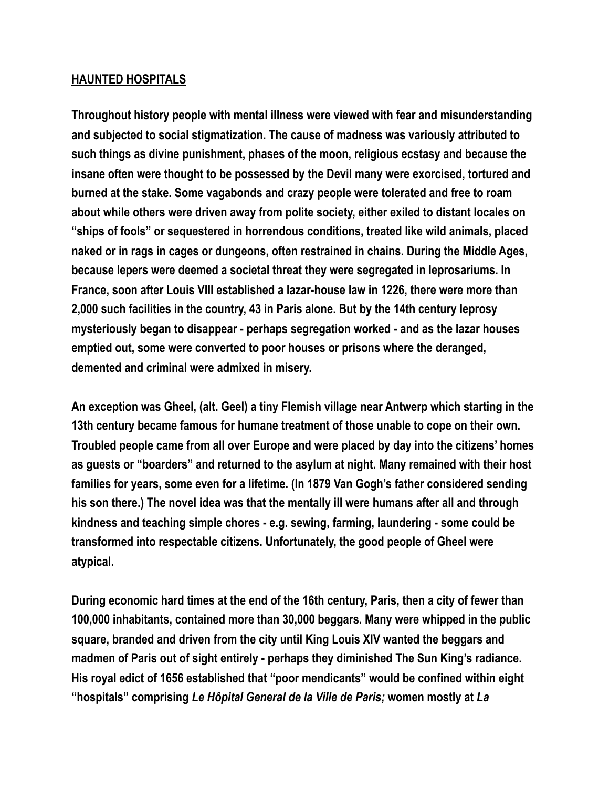## **HAUNTED HOSPITALS**

**Throughout history people with mental illness were viewed with fear and misunderstanding and subjected to social stigmatization. The cause of madness was variously attributed to such things as divine punishment, phases of the moon, religious ecstasy and because the insane often were thought to be possessed by the Devil many were exorcised, tortured and burned at the stake. Some vagabonds and crazy people were tolerated and free to roam about while others were driven away from polite society, either exiled to distant locales on "ships of fools" or sequestered in horrendous conditions, treated like wild animals, placed naked or in rags in cages or dungeons, often restrained in chains. During the Middle Ages, because lepers were deemed a societal threat they were segregated in leprosariums. In France, soon after Louis VIII established a lazar-house law in 1226, there were more than 2,000 such facilities in the country, 43 in Paris alone. But by the 14th century leprosy mysteriously began to disappear - perhaps segregation worked - and as the lazar houses emptied out, some were converted to poor houses or prisons where the deranged, demented and criminal were admixed in misery.** 

**An exception was Gheel, (alt. Geel) a tiny Flemish village near Antwerp which starting in the 13th century became famous for humane treatment of those unable to cope on their own. Troubled people came from all over Europe and were placed by day into the citizens' homes as guests or "boarders" and returned to the asylum at night. Many remained with their host families for years, some even for a lifetime. (In 1879 Van Gogh's father considered sending his son there.) The novel idea was that the mentally ill were humans after all and through kindness and teaching simple chores - e.g. sewing, farming, laundering - some could be transformed into respectable citizens. Unfortunately, the good people of Gheel were atypical.** 

**During economic hard times at the end of the 16th century, Paris, then a city of fewer than 100,000 inhabitants, contained more than 30,000 beggars. Many were whipped in the public square, branded and driven from the city until King Louis XIV wanted the beggars and madmen of Paris out of sight entirely - perhaps they diminished The Sun King's radiance. His royal edict of 1656 established that "poor mendicants" would be confined within eight "hospitals" comprising** *Le Hôpital General de la Ville de Paris;* **women mostly at** *La*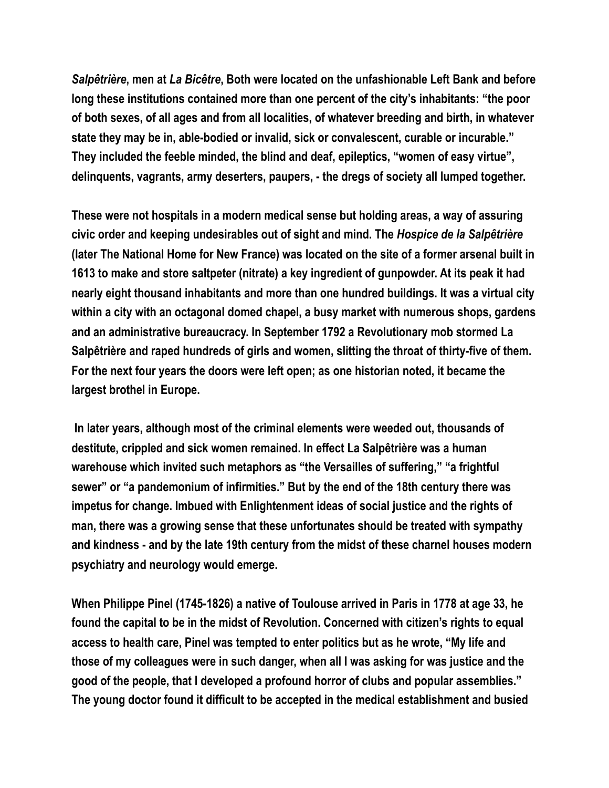*Salpêtrière***, men at** *La Bicêtre***, Both were located on the unfashionable Left Bank and before long these institutions contained more than one percent of the city's inhabitants: "the poor of both sexes, of all ages and from all localities, of whatever breeding and birth, in whatever state they may be in, able-bodied or invalid, sick or convalescent, curable or incurable." They included the feeble minded, the blind and deaf, epileptics, "women of easy virtue", delinquents, vagrants, army deserters, paupers, - the dregs of society all lumped together.**

**These were not hospitals in a modern medical sense but holding areas, a way of assuring civic order and keeping undesirables out of sight and mind. The** *Hospice de la Salpêtrière*  **(later The National Home for New France) was located on the site of a former arsenal built in 1613 to make and store saltpeter (nitrate) a key ingredient of gunpowder. At its peak it had nearly eight thousand inhabitants and more than one hundred buildings. It was a virtual city within a city with an octagonal domed chapel, a busy market with numerous shops, gardens and an administrative bureaucracy. In September 1792 a Revolutionary mob stormed La Salpêtrière and raped hundreds of girls and women, slitting the throat of thirty-five of them. For the next four years the doors were left open; as one historian noted, it became the largest brothel in Europe.** 

 **In later years, although most of the criminal elements were weeded out, thousands of destitute, crippled and sick women remained. In effect La Salpêtrière was a human warehouse which invited such metaphors as "the Versailles of suffering," "a frightful sewer" or "a pandemonium of infirmities." But by the end of the 18th century there was impetus for change. Imbued with Enlightenment ideas of social justice and the rights of man, there was a growing sense that these unfortunates should be treated with sympathy and kindness - and by the late 19th century from the midst of these charnel houses modern psychiatry and neurology would emerge.** 

**When Philippe Pinel (1745-1826) a native of Toulouse arrived in Paris in 1778 at age 33, he found the capital to be in the midst of Revolution. Concerned with citizen's rights to equal access to health care, Pinel was tempted to enter politics but as he wrote, "My life and those of my colleagues were in such danger, when all I was asking for was justice and the good of the people, that I developed a profound horror of clubs and popular assemblies." The young doctor found it difficult to be accepted in the medical establishment and busied**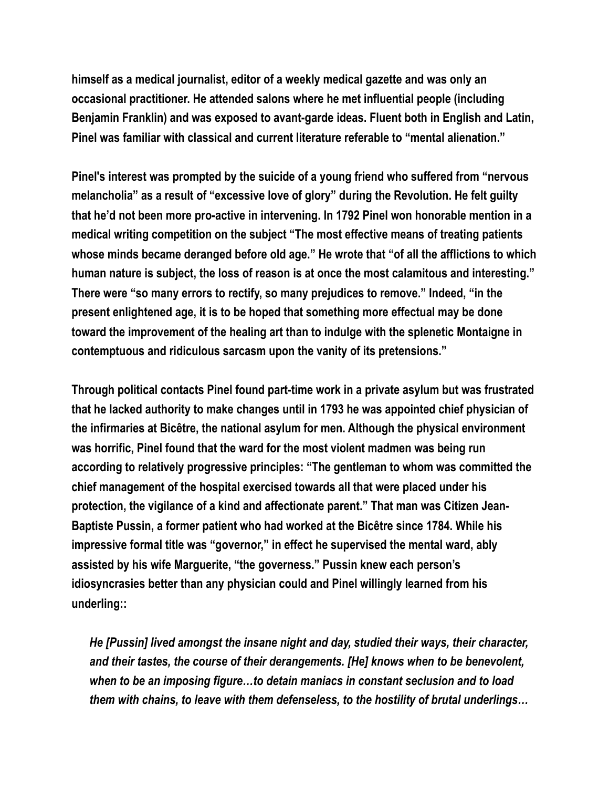**himself as a medical journalist, editor of a weekly medical gazette and was only an occasional practitioner. He attended salons where he met influential people (including Benjamin Franklin) and was exposed to avant-garde ideas. Fluent both in English and Latin, Pinel was familiar with classical and current literature referable to "mental alienation."** 

**Pinel's interest was prompted by the suicide of a young friend who suffered from "nervous melancholia" as a result of "excessive love of glory" during the Revolution. He felt guilty that he'd not been more pro-active in intervening. In 1792 Pinel won honorable mention in a medical writing competition on the subject "The most effective means of treating patients whose minds became deranged before old age." He wrote that "of all the afflictions to which human nature is subject, the loss of reason is at once the most calamitous and interesting." There were "so many errors to rectify, so many prejudices to remove." Indeed, "in the present enlightened age, it is to be hoped that something more effectual may be done toward the improvement of the healing art than to indulge with the splenetic Montaigne in contemptuous and ridiculous sarcasm upon the vanity of its pretensions."** 

**Through political contacts Pinel found part-time work in a private asylum but was frustrated that he lacked authority to make changes until in 1793 he was appointed chief physician of the infirmaries at Bicêtre, the national asylum for men. Although the physical environment was horrific, Pinel found that the ward for the most violent madmen was being run according to relatively progressive principles: "The gentleman to whom was committed the chief management of the hospital exercised towards all that were placed under his protection, the vigilance of a kind and affectionate parent." That man was Citizen Jean-Baptiste Pussin, a former patient who had worked at the Bicêtre since 1784. While his impressive formal title was "governor," in effect he supervised the mental ward, ably assisted by his wife Marguerite, "the governess." Pussin knew each person's idiosyncrasies better than any physician could and Pinel willingly learned from his underling::** 

 *He [Pussin] lived amongst the insane night and day, studied their ways, their character, and their tastes, the course of their derangements. [He] knows when to be benevolent, when to be an imposing figure…to detain maniacs in constant seclusion and to load them with chains, to leave with them defenseless, to the hostility of brutal underlings…*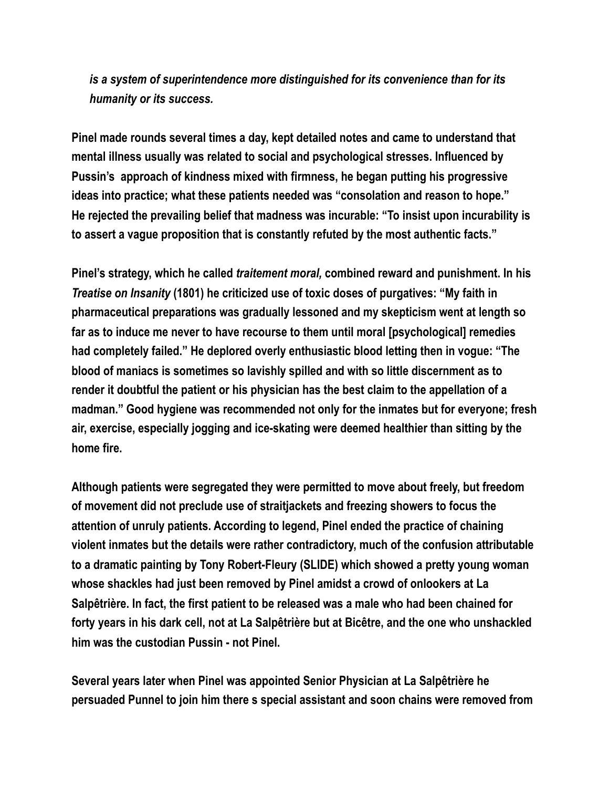*is a system of superintendence more distinguished for its convenience than for its humanity or its success.* 

**Pinel made rounds several times a day, kept detailed notes and came to understand that mental illness usually was related to social and psychological stresses. Influenced by Pussin's approach of kindness mixed with firmness, he began putting his progressive ideas into practice; what these patients needed was "consolation and reason to hope." He rejected the prevailing belief that madness was incurable: "To insist upon incurability is to assert a vague proposition that is constantly refuted by the most authentic facts."** 

**Pinel's strategy, which he called** *traitement moral,* **combined reward and punishment. In his**  *Treatise on Insanity* **(1801) he criticized use of toxic doses of purgatives: "My faith in pharmaceutical preparations was gradually lessoned and my skepticism went at length so far as to induce me never to have recourse to them until moral [psychological] remedies had completely failed." He deplored overly enthusiastic blood letting then in vogue: "The blood of maniacs is sometimes so lavishly spilled and with so little discernment as to render it doubtful the patient or his physician has the best claim to the appellation of a madman." Good hygiene was recommended not only for the inmates but for everyone; fresh air, exercise, especially jogging and ice-skating were deemed healthier than sitting by the home fire.** 

**Although patients were segregated they were permitted to move about freely, but freedom of movement did not preclude use of straitjackets and freezing showers to focus the attention of unruly patients. According to legend, Pinel ended the practice of chaining violent inmates but the details were rather contradictory, much of the confusion attributable to a dramatic painting by Tony Robert-Fleury (SLIDE) which showed a pretty young woman whose shackles had just been removed by Pinel amidst a crowd of onlookers at La Salpêtrière. In fact, the first patient to be released was a male who had been chained for forty years in his dark cell, not at La Salpêtrière but at Bicêtre, and the one who unshackled him was the custodian Pussin - not Pinel.** 

**Several years later when Pinel was appointed Senior Physician at La Salpêtrière he persuaded Punnel to join him there s special assistant and soon chains were removed from**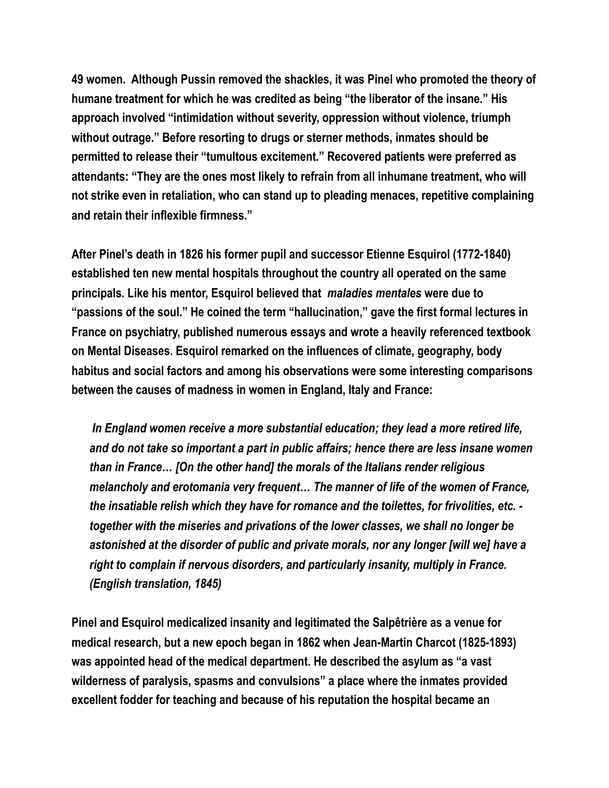**49 women. Although Pussin removed the shackles, it was Pinel who promoted the theory of humane treatment for which he was credited as being "the liberator of the insane." His approach involved "intimidation without severity, oppression without violence, triumph without outrage." Before resorting to drugs or sterner methods, inmates should be permitted to release their "tumultous excitement." Recovered patients were preferred as attendants: "They are the ones most likely to refrain from all inhumane treatment, who will not strike even in retaliation, who can stand up to pleading menaces, repetitive complaining and retain their inflexible firmness."** 

**After Pinel's death in 1826 his former pupil and successor Etienne Esquirol (1772-1840) established ten new mental hospitals throughout the country all operated on the same principals. Like his mentor, Esquirol believed that** *maladies mentales* **were due to "passions of the soul." He coined the term "hallucination," gave the first formal lectures in France on psychiatry, published numerous essays and wrote a heavily referenced textbook on Mental Diseases. Esquirol remarked on the influences of climate, geography, body habitus and social factors and among his observations were some interesting comparisons between the causes of madness in women in England, Italy and France:** 

 *In England women receive a more substantial education; they lead a more retired life, and do not take so important a part in public affairs; hence there are less insane women than in France… [On the other hand] the morals of the Italians render religious melancholy and erotomania very frequent… The manner of life of the women of France, the insatiable relish which they have for romance and the toilettes, for frivolities, etc. together with the miseries and privations of the lower classes, we shall no longer be astonished at the disorder of public and private morals, nor any longer [will we] have a right to complain if nervous disorders, and particularly insanity, multiply in France. (English translation, 1845)* 

**Pinel and Esquirol medicalized insanity and legitimated the Salpêtrière as a venue for medical research, but a new epoch began in 1862 when Jean-Martin Charcot (1825-1893) was appointed head of the medical department. He described the asylum as "a vast wilderness of paralysis, spasms and convulsions" a place where the inmates provided excellent fodder for teaching and because of his reputation the hospital became an**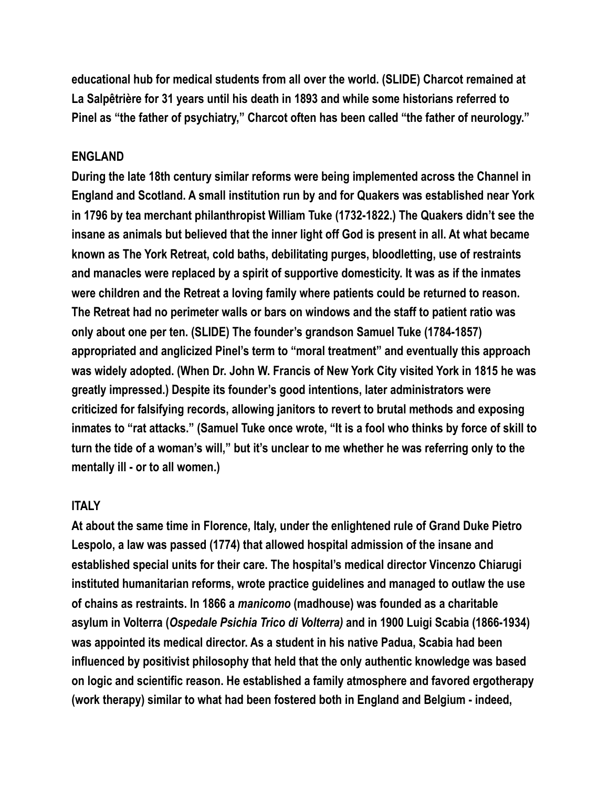**educational hub for medical students from all over the world. (SLIDE) Charcot remained at La Salpêtrière for 31 years until his death in 1893 and while some historians referred to Pinel as "the father of psychiatry," Charcot often has been called "the father of neurology."** 

## **ENGLAND**

**During the late 18th century similar reforms were being implemented across the Channel in England and Scotland. A small institution run by and for Quakers was established near York in 1796 by tea merchant philanthropist William Tuke (1732-1822.) The Quakers didn't see the insane as animals but believed that the inner light off God is present in all. At what became known as The York Retreat, cold baths, debilitating purges, bloodletting, use of restraints and manacles were replaced by a spirit of supportive domesticity. It was as if the inmates were children and the Retreat a loving family where patients could be returned to reason. The Retreat had no perimeter walls or bars on windows and the staff to patient ratio was only about one per ten. (SLIDE) The founder's grandson Samuel Tuke (1784-1857) appropriated and anglicized Pinel's term to "moral treatment" and eventually this approach was widely adopted. (When Dr. John W. Francis of New York City visited York in 1815 he was greatly impressed.) Despite its founder's good intentions, later administrators were criticized for falsifying records, allowing janitors to revert to brutal methods and exposing inmates to "rat attacks." (Samuel Tuke once wrote, "It is a fool who thinks by force of skill to turn the tide of a woman's will," but it's unclear to me whether he was referring only to the mentally ill - or to all women.)** 

## **ITALY**

**At about the same time in Florence, Italy, under the enlightened rule of Grand Duke Pietro Lespolo, a law was passed (1774) that allowed hospital admission of the insane and established special units for their care. The hospital's medical director Vincenzo Chiarugi instituted humanitarian reforms, wrote practice guidelines and managed to outlaw the use of chains as restraints. In 1866 a** *manicomo* **(madhouse) was founded as a charitable asylum in Volterra (***Ospedale Psichia Trico di Volterra)* **and in 1900 Luigi Scabia (1866-1934) was appointed its medical director. As a student in his native Padua, Scabia had been influenced by positivist philosophy that held that the only authentic knowledge was based on logic and scientific reason. He established a family atmosphere and favored ergotherapy (work therapy) similar to what had been fostered both in England and Belgium - indeed,**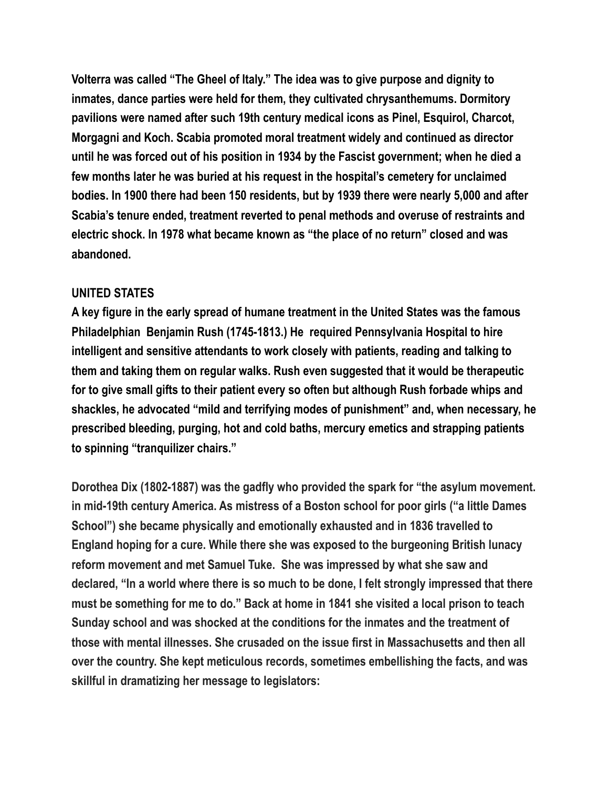**Volterra was called "The Gheel of Italy." The idea was to give purpose and dignity to inmates, dance parties were held for them, they cultivated chrysanthemums. Dormitory pavilions were named after such 19th century medical icons as Pinel, Esquirol, Charcot, Morgagni and Koch. Scabia promoted moral treatment widely and continued as director until he was forced out of his position in 1934 by the Fascist government; when he died a few months later he was buried at his request in the hospital's cemetery for unclaimed bodies. In 1900 there had been 150 residents, but by 1939 there were nearly 5,000 and after Scabia's tenure ended, treatment reverted to penal methods and overuse of restraints and electric shock. In 1978 what became known as "the place of no return" closed and was abandoned.** 

## **UNITED STATES**

**A key figure in the early spread of humane treatment in the United States was the famous Philadelphian Benjamin Rush (1745-1813.) He required Pennsylvania Hospital to hire intelligent and sensitive attendants to work closely with patients, reading and talking to them and taking them on regular walks. Rush even suggested that it would be therapeutic for to give small gifts to their patient every so often but although Rush forbade whips and shackles, he advocated "mild and terrifying modes of punishment" and, when necessary, he prescribed bleeding, purging, hot and cold baths, mercury emetics and strapping patients to spinning "tranquilizer chairs."** 

**Dorothea Dix (1802-1887) was the gadfly who provided the spark for "the asylum movement. in mid-19th century America. As mistress of a Boston school for poor girls ("a little Dames School") she became physically and emotionally exhausted and in 1836 travelled to England hoping for a cure. While there she was exposed to the burgeoning British lunacy reform movement and met Samuel Tuke. She was impressed by what she saw and declared, "In a world where there is so much to be done, I felt strongly impressed that there must be something for me to do." Back at home in 1841 she visited a local prison to teach Sunday school and was shocked at the conditions for the inmates and the treatment of those with mental illnesses. She crusaded on the issue first in Massachusetts and then all over the country. She kept meticulous records, sometimes embellishing the facts, and was skillful in dramatizing her message to legislators:**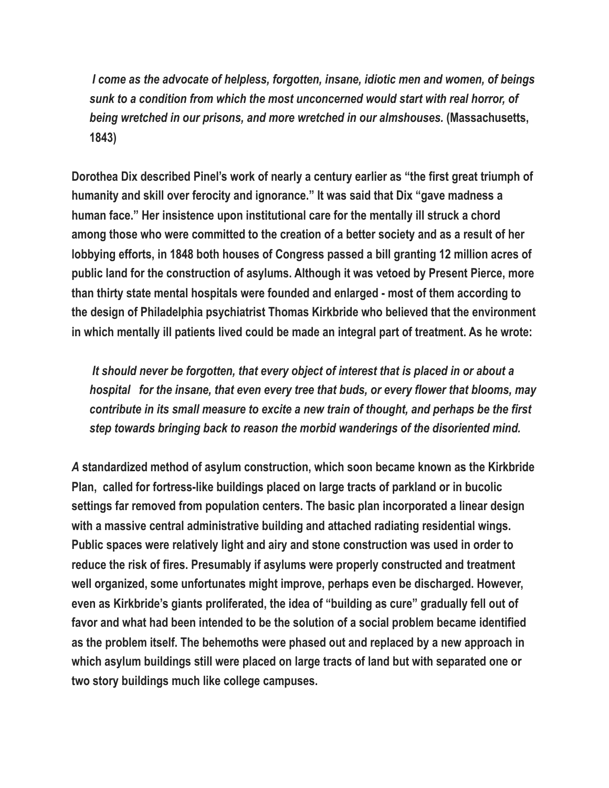*I come as the advocate of helpless, forgotten, insane, idiotic men and women, of beings sunk to a condition from which the most unconcerned would start with real horror, of being wretched in our prisons, and more wretched in our almshouses.* **(Massachusetts, 1843)** 

**Dorothea Dix described Pinel's work of nearly a century earlier as "the first great triumph of humanity and skill over ferocity and ignorance." It was said that Dix "gave madness a human face." Her insistence upon institutional care for the mentally ill struck a chord among those who were committed to the creation of a better society and as a result of her lobbying efforts, in 1848 both houses of Congress passed a bill granting 12 million acres of public land for the construction of asylums. Although it was vetoed by Present Pierce, more than thirty state mental hospitals were founded and enlarged - most of them according to the design of Philadelphia psychiatrist Thomas Kirkbride who believed that the environment in which mentally ill patients lived could be made an integral part of treatment. As he wrote:** 

*It should never be forgotten, that every object of interest that is placed in or about a hospital for the insane, that even every tree that buds, or every flower that blooms, may contribute in its small measure to excite a new train of thought, and perhaps be the first step towards bringing back to reason the morbid wanderings of the disoriented mind.* 

*A* **standardized method of asylum construction, which soon became known as the Kirkbride Plan, called for fortress-like buildings placed on large tracts of parkland or in bucolic settings far removed from population centers. The basic plan incorporated a linear design with a massive central administrative building and attached radiating residential wings. Public spaces were relatively light and airy and stone construction was used in order to reduce the risk of fires. Presumably if asylums were properly constructed and treatment well organized, some unfortunates might improve, perhaps even be discharged. However, even as Kirkbride's giants proliferated, the idea of "building as cure" gradually fell out of favor and what had been intended to be the solution of a social problem became identified as the problem itself. The behemoths were phased out and replaced by a new approach in which asylum buildings still were placed on large tracts of land but with separated one or two story buildings much like college campuses.**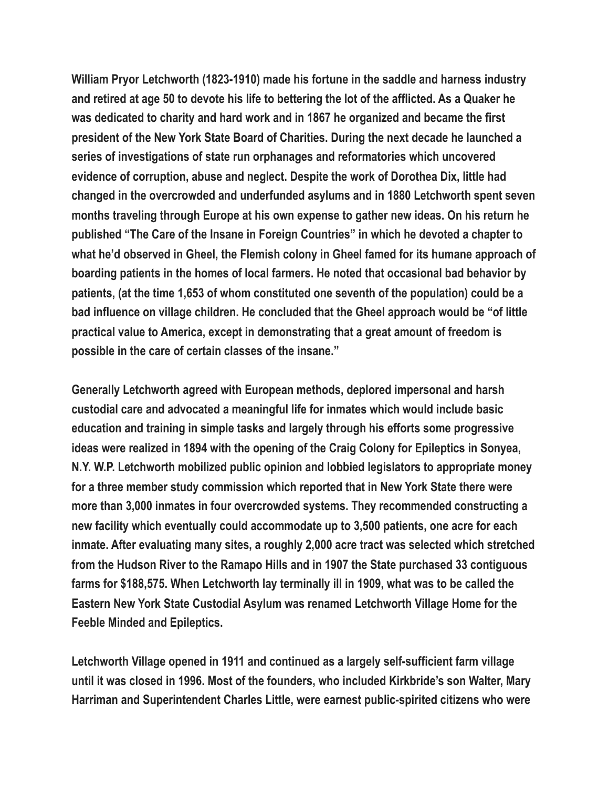**William Pryor Letchworth (1823-1910) made his fortune in the saddle and harness industry and retired at age 50 to devote his life to bettering the lot of the afflicted. As a Quaker he was dedicated to charity and hard work and in 1867 he organized and became the first president of the New York State Board of Charities. During the next decade he launched a series of investigations of state run orphanages and reformatories which uncovered evidence of corruption, abuse and neglect. Despite the work of Dorothea Dix, little had changed in the overcrowded and underfunded asylums and in 1880 Letchworth spent seven months traveling through Europe at his own expense to gather new ideas. On his return he published "The Care of the Insane in Foreign Countries" in which he devoted a chapter to what he'd observed in Gheel, the Flemish colony in Gheel famed for its humane approach of boarding patients in the homes of local farmers. He noted that occasional bad behavior by patients, (at the time 1,653 of whom constituted one seventh of the population) could be a bad influence on village children. He concluded that the Gheel approach would be "of little practical value to America, except in demonstrating that a great amount of freedom is possible in the care of certain classes of the insane."** 

**Generally Letchworth agreed with European methods, deplored impersonal and harsh custodial care and advocated a meaningful life for inmates which would include basic education and training in simple tasks and largely through his efforts some progressive ideas were realized in 1894 with the opening of the Craig Colony for Epileptics in Sonyea, N.Y. W.P. Letchworth mobilized public opinion and lobbied legislators to appropriate money for a three member study commission which reported that in New York State there were more than 3,000 inmates in four overcrowded systems. They recommended constructing a new facility which eventually could accommodate up to 3,500 patients, one acre for each inmate. After evaluating many sites, a roughly 2,000 acre tract was selected which stretched from the Hudson River to the Ramapo Hills and in 1907 the State purchased 33 contiguous farms for \$188,575. When Letchworth lay terminally ill in 1909, what was to be called the Eastern New York State Custodial Asylum was renamed Letchworth Village Home for the Feeble Minded and Epileptics.** 

**Letchworth Village opened in 1911 and continued as a largely self-sufficient farm village until it was closed in 1996. Most of the founders, who included Kirkbride's son Walter, Mary Harriman and Superintendent Charles Little, were earnest public-spirited citizens who were**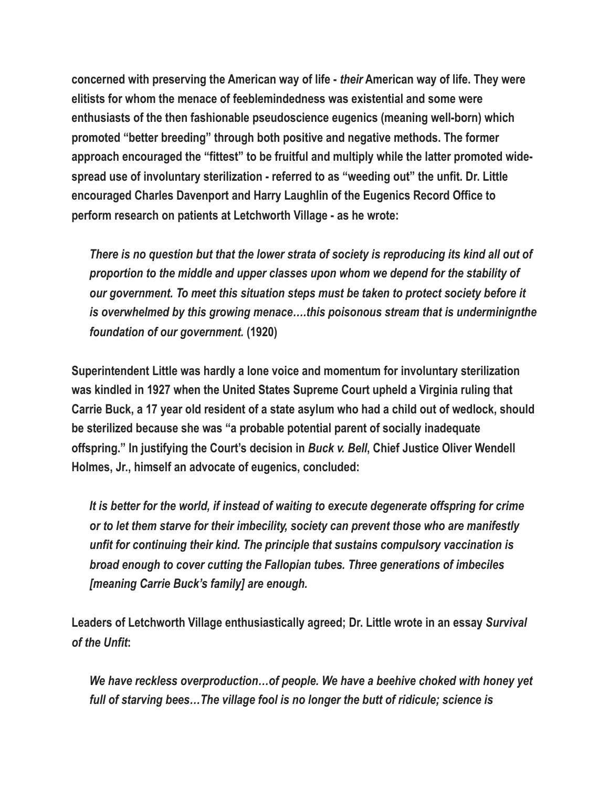**concerned with preserving the American way of life -** *their* **American way of life. They were elitists for whom the menace of feeblemindedness was existential and some were enthusiasts of the then fashionable pseudoscience eugenics (meaning well-born) which promoted "better breeding" through both positive and negative methods. The former approach encouraged the "fittest" to be fruitful and multiply while the latter promoted widespread use of involuntary sterilization - referred to as "weeding out" the unfit. Dr. Little encouraged Charles Davenport and Harry Laughlin of the Eugenics Record Office to perform research on patients at Letchworth Village - as he wrote:** 

*There is no question but that the lower strata of society is reproducing its kind all out of proportion to the middle and upper classes upon whom we depend for the stability of our government. To meet this situation steps must be taken to protect society before it is overwhelmed by this growing menace….this poisonous stream that is underminignthe foundation of our government.* **(1920)** 

**Superintendent Little was hardly a lone voice and momentum for involuntary sterilization was kindled in 1927 when the United States Supreme Court upheld a Virginia ruling that Carrie Buck, a 17 year old resident of a state asylum who had a child out of wedlock, should be sterilized because she was "a probable potential parent of socially inadequate offspring." In justifying the Court's decision in** *Buck v. Bell***, Chief Justice Oliver Wendell Holmes, Jr., himself an advocate of eugenics, concluded:** 

 *It is better for the world, if instead of waiting to execute degenerate offspring for crime or to let them starve for their imbecility, society can prevent those who are manifestly unfit for continuing their kind. The principle that sustains compulsory vaccination is broad enough to cover cutting the Fallopian tubes. Three generations of imbeciles [meaning Carrie Buck's family] are enough.* 

**Leaders of Letchworth Village enthusiastically agreed; Dr. Little wrote in an essay** *Survival of the Unfit***:** 

 *We have reckless overproduction…of people. We have a beehive choked with honey yet full of starving bees…The village fool is no longer the butt of ridicule; science is*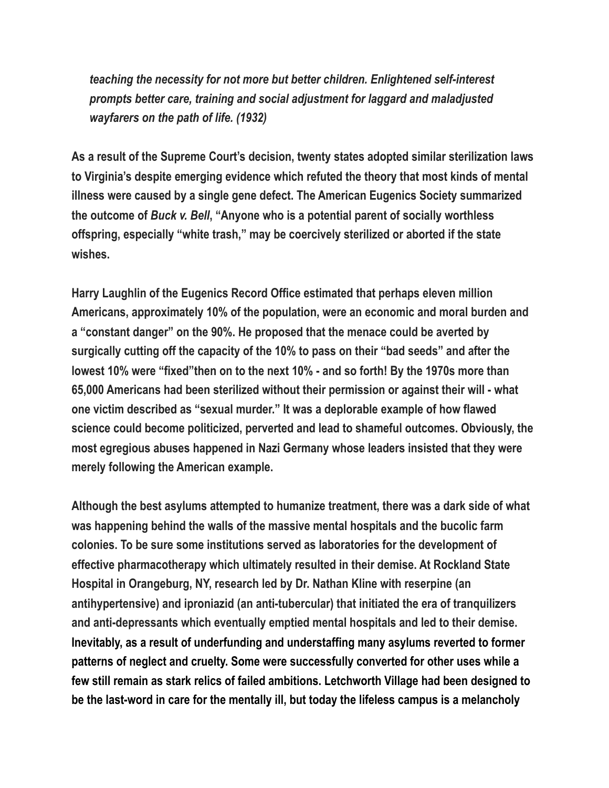*teaching the necessity for not more but better children. Enlightened self-interest prompts better care, training and social adjustment for laggard and maladjusted wayfarers on the path of life. (1932)* 

**As a result of the Supreme Court's decision, twenty states adopted similar sterilization laws to Virginia's despite emerging evidence which refuted the theory that most kinds of mental illness were caused by a single gene defect. The American Eugenics Society summarized the outcome of** *Buck v. Bell***, "Anyone who is a potential parent of socially worthless offspring, especially "white trash," may be coercively sterilized or aborted if the state wishes.** 

**Harry Laughlin of the Eugenics Record Office estimated that perhaps eleven million Americans, approximately 10% of the population, were an economic and moral burden and a "constant danger" on the 90%. He proposed that the menace could be averted by surgically cutting off the capacity of the 10% to pass on their "bad seeds" and after the lowest 10% were "fixed"then on to the next 10% - and so forth! By the 1970s more than 65,000 Americans had been sterilized without their permission or against their will - what one victim described as "sexual murder." It was a deplorable example of how flawed science could become politicized, perverted and lead to shameful outcomes. Obviously, the most egregious abuses happened in Nazi Germany whose leaders insisted that they were merely following the American example.** 

**Although the best asylums attempted to humanize treatment, there was a dark side of what was happening behind the walls of the massive mental hospitals and the bucolic farm colonies. To be sure some institutions served as laboratories for the development of effective pharmacotherapy which ultimately resulted in their demise. At Rockland State Hospital in Orangeburg, NY, research led by Dr. Nathan Kline with reserpine (an antihypertensive) and iproniazid (an anti-tubercular) that initiated the era of tranquilizers and anti-depressants which eventually emptied mental hospitals and led to their demise. Inevitably, as a result of underfunding and understaffing many asylums reverted to former patterns of neglect and cruelty. Some were successfully converted for other uses while a few still remain as stark relics of failed ambitions. Letchworth Village had been designed to be the last-word in care for the mentally ill, but today the lifeless campus is a melancholy**